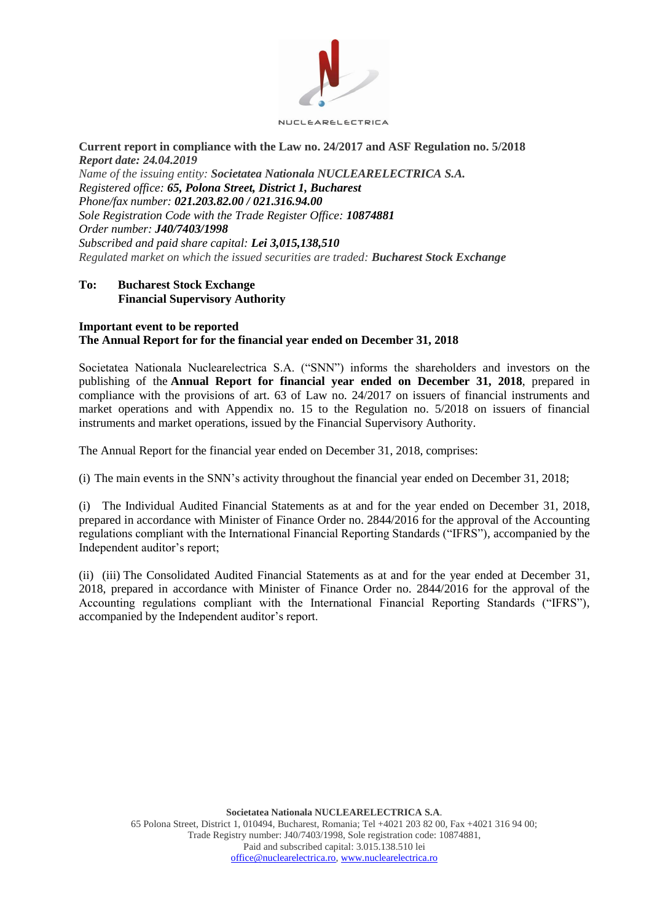

### **Current report in compliance with the Law no. 24/2017 and ASF Regulation no. 5/2018**  *Report date: 24.04.2019*

*Name of the issuing entity: Societatea Nationala NUCLEARELECTRICA S.A. Registered office: 65, Polona Street, District 1, Bucharest Phone/fax number: 021.203.82.00 / 021.316.94.00 Sole Registration Code with the Trade Register Office: 10874881 Order number: J40/7403/1998 Subscribed and paid share capital: Lei 3,015,138,510 Regulated market on which the issued securities are traded: Bucharest Stock Exchange*

### **To: Bucharest Stock Exchange Financial Supervisory Authority**

#### **Important event to be reported The Annual Report for for the financial year ended on December 31, 2018**

Societatea Nationala Nuclearelectrica S.A. ("SNN") informs the shareholders and investors on the publishing of the **Annual Report for financial year ended on December 31, 2018**, prepared in compliance with the provisions of art. 63 of Law no. 24/2017 on issuers of financial instruments and market operations and with Appendix no. 15 to the Regulation no. 5/2018 on issuers of financial instruments and market operations, issued by the Financial Supervisory Authority.

The Annual Report for the financial year ended on December 31, 2018, comprises:

(i) The main events in the SNN's activity throughout the financial year ended on December 31, 2018;

(i) The Individual Audited Financial Statements as at and for the year ended on December 31, 2018, prepared in accordance with Minister of Finance Order no. 2844/2016 for the approval of the Accounting regulations compliant with the International Financial Reporting Standards ("IFRS"), accompanied by the Independent auditor's report;

(ii) (iii) The Consolidated Audited Financial Statements as at and for the year ended at December 31, 2018, prepared in accordance with Minister of Finance Order no. 2844/2016 for the approval of the Accounting regulations compliant with the International Financial Reporting Standards ("IFRS"), accompanied by the Independent auditor's report.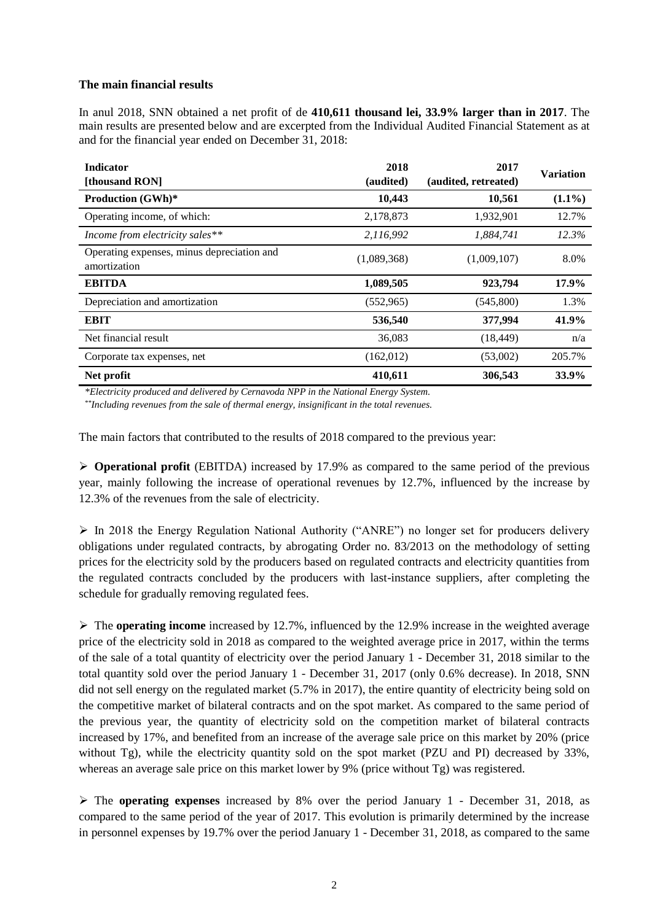### **The main financial results**

In anul 2018, SNN obtained a net profit of de **410,611 thousand lei, 33.9% larger than in 2017**. The main results are presented below and are excerpted from the Individual Audited Financial Statement as at and for the financial year ended on December 31, 2018:

| <b>Indicator</b><br>[thousand RON]                         | 2018<br>(audited) | 2017<br>(audited, retreated) | <b>Variation</b> |
|------------------------------------------------------------|-------------------|------------------------------|------------------|
| <b>Production (GWh)*</b>                                   | 10,443            | 10,561                       | $(1.1\%)$        |
| Operating income, of which:                                | 2,178,873         | 1,932,901                    | 12.7%            |
| Income from electricity sales**                            | 2,116,992         | 1,884,741                    | 12.3%            |
| Operating expenses, minus depreciation and<br>amortization | (1,089,368)       | (1,009,107)                  | 8.0%             |
| <b>EBITDA</b>                                              | 1,089,505         | 923,794                      | 17.9%            |
| Depreciation and amortization                              | (552, 965)        | (545,800)                    | 1.3%             |
| <b>EBIT</b>                                                | 536,540           | 377,994                      | 41.9%            |
| Net financial result                                       | 36,083            | (18, 449)                    | n/a              |
| Corporate tax expenses, net                                | (162,012)         | (53,002)                     | 205.7%           |
| Net profit                                                 | 410,611           | 306,543                      | 33.9%            |

*\*Electricity produced and delivered by Cernavoda NPP in the National Energy System.*

*\*\*Including revenues from the sale of thermal energy, insignificant in the total revenues.*

The main factors that contributed to the results of 2018 compared to the previous year:

 $\triangleright$  **Operational profit** (EBITDA) increased by 17.9% as compared to the same period of the previous year, mainly following the increase of operational revenues by 12.7%, influenced by the increase by 12.3% of the revenues from the sale of electricity.

 $\triangleright$  In 2018 the Energy Regulation National Authority ("ANRE") no longer set for producers delivery obligations under regulated contracts, by abrogating Order no. 83/2013 on the methodology of setting prices for the electricity sold by the producers based on regulated contracts and electricity quantities from the regulated contracts concluded by the producers with last-instance suppliers, after completing the schedule for gradually removing regulated fees.

 The **operating income** increased by 12.7%, influenced by the 12.9% increase in the weighted average price of the electricity sold in 2018 as compared to the weighted average price in 2017, within the terms of the sale of a total quantity of electricity over the period January 1 - December 31, 2018 similar to the total quantity sold over the period January 1 - December 31, 2017 (only 0.6% decrease). In 2018, SNN did not sell energy on the regulated market (5.7% in 2017), the entire quantity of electricity being sold on the competitive market of bilateral contracts and on the spot market. As compared to the same period of the previous year, the quantity of electricity sold on the competition market of bilateral contracts increased by 17%, and benefited from an increase of the average sale price on this market by 20% (price without Tg), while the electricity quantity sold on the spot market (PZU and PI) decreased by 33%, whereas an average sale price on this market lower by 9% (price without Tg) was registered.

 The **operating expenses** increased by 8% over the period January 1 - December 31, 2018, as compared to the same period of the year of 2017. This evolution is primarily determined by the increase in personnel expenses by 19.7% over the period January 1 - December 31, 2018, as compared to the same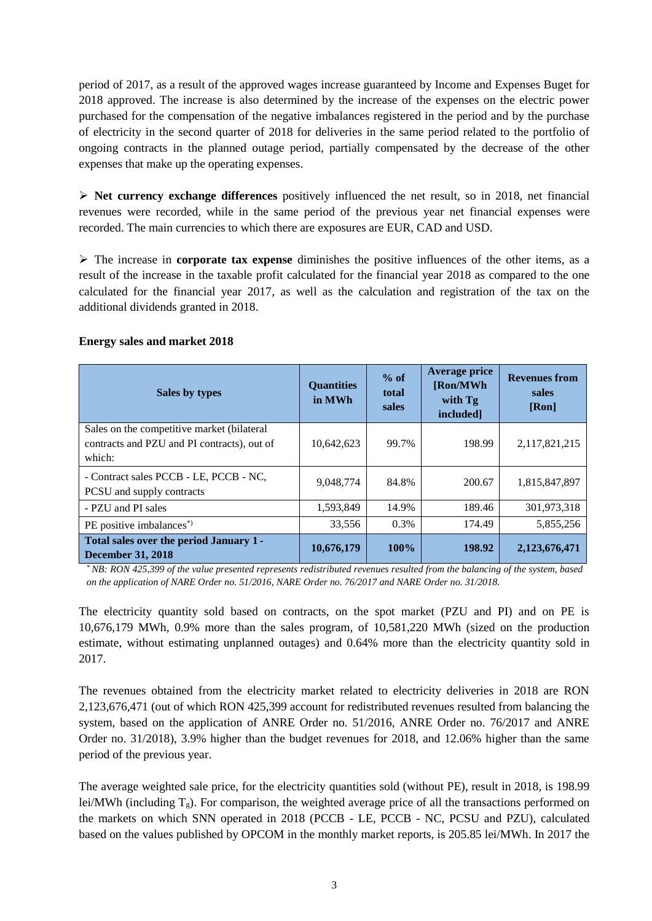period of 2017, as a result of the approved wages increase guaranteed by Income and Expenses Buget for 2018 approved. The increase is also determined by the increase of the expenses on the electric power purchased for the compensation of the negative imbalances registered in the period and by the purchase of electricity in the second quarter of 2018 for deliveries in the same period related to the portfolio of ongoing contracts in the planned outage period, partially compensated by the decrease of the other expenses that make up the operating expenses.

 **Net currency exchange differences** positively influenced the net result, so in 2018, net financial revenues were recorded, while in the same period of the previous year net financial expenses were recorded. The main currencies to which there are exposures are EUR, CAD and USD.

 The increase in **corporate tax expense** diminishes the positive influences of the other items, as a result of the increase in the taxable profit calculated for the financial year 2018 as compared to the one calculated for the financial year 2017, as well as the calculation and registration of the tax on the additional dividends granted in 2018.

| Sales by types                                                                                      | <b>Quantities</b><br>in MWh | $%$ of<br>total<br>sales | <b>Average price</b><br>[Ron/MWh<br>with Tg<br>included] | <b>Revenues from</b><br>sales<br>[Ron] |
|-----------------------------------------------------------------------------------------------------|-----------------------------|--------------------------|----------------------------------------------------------|----------------------------------------|
| Sales on the competitive market (bilateral<br>contracts and PZU and PI contracts), out of<br>which: | 10,642,623                  | 99.7%                    | 198.99                                                   | 2,117,821,215                          |
| - Contract sales PCCB - LE, PCCB - NC,<br>PCSU and supply contracts                                 | 9,048,774                   | 84.8%                    | 200.67                                                   | 1,815,847,897                          |
| - PZU and PI sales                                                                                  | 1,593,849                   | 14.9%                    | 189.46                                                   | 301,973,318                            |
| PE positive imbalances <sup>*</sup> )                                                               | 33.556                      | $0.3\%$                  | 174.49                                                   | 5,855,256                              |
| Total sales over the period January 1 -<br><b>December 31, 2018</b>                                 | 10,676,179                  | 100%                     | 198.92                                                   | 2,123,676,471                          |

# **Energy sales and market 2018**

*\* NB: RON 425,399 of the value presented represents redistributed revenues resulted from the balancing of the system, based on the application of NARE Order no. 51/2016, NARE Order no. 76/2017 and NARE Order no. 31/2018.*

The electricity quantity sold based on contracts, on the spot market (PZU and PI) and on PE is 10,676,179 MWh, 0.9% more than the sales program, of 10,581,220 MWh (sized on the production estimate, without estimating unplanned outages) and 0.64% more than the electricity quantity sold in 2017.

The revenues obtained from the electricity market related to electricity deliveries in 2018 are RON 2,123,676,471 (out of which RON 425,399 account for redistributed revenues resulted from balancing the system, based on the application of ANRE Order no. 51/2016, ANRE Order no. 76/2017 and ANRE Order no. 31/2018), 3.9% higher than the budget revenues for 2018, and 12.06% higher than the same period of the previous year.

The average weighted sale price, for the electricity quantities sold (without PE), result in 2018, is 198.99 lei/MWh (including  $T_g$ ). For comparison, the weighted average price of all the transactions performed on the markets on which SNN operated in 2018 (PCCB - LE, PCCB - NC, PCSU and PZU), calculated based on the values published by OPCOM in the monthly market reports, is 205.85 lei/MWh. In 2017 the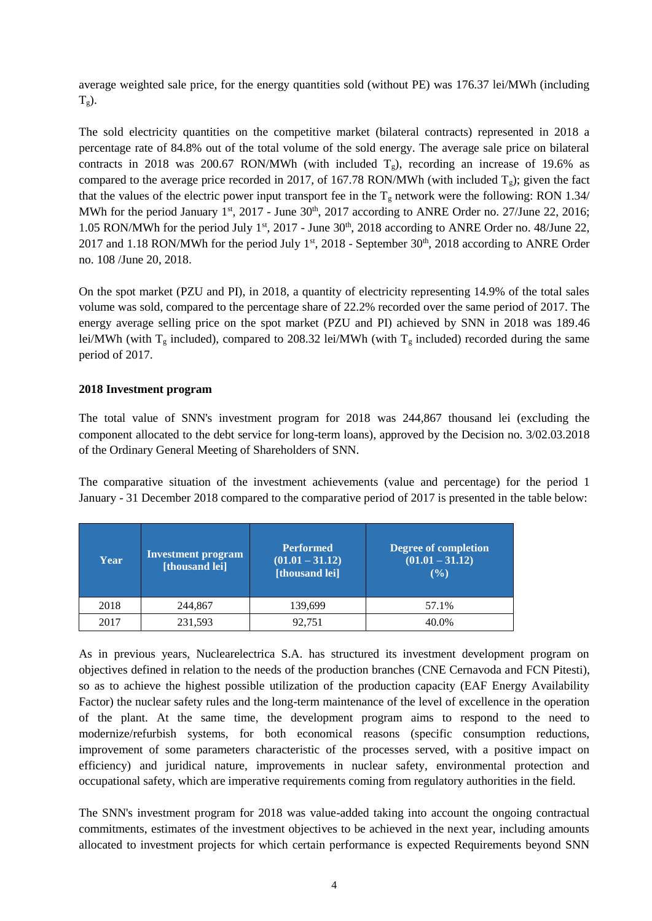average weighted sale price, for the energy quantities sold (without PE) was 176.37 lei/MWh (including  $T_g$ ).

The sold electricity quantities on the competitive market (bilateral contracts) represented in 2018 a percentage rate of 84.8% out of the total volume of the sold energy. The average sale price on bilateral contracts in 2018 was 200.67 RON/MWh (with included  $T_g$ ), recording an increase of 19.6% as compared to the average price recorded in 2017, of 167.78 RON/MWh (with included  $T_g$ ); given the fact that the values of the electric power input transport fee in the  $T_g$  network were the following: RON 1.34/ MWh for the period January 1<sup>st</sup>, 2017 - June 30<sup>th</sup>, 2017 according to ANRE Order no. 27/June 22, 2016; 1.05 RON/MWh for the period July 1<sup>st</sup>, 2017 - June  $30<sup>th</sup>$ , 2018 according to ANRE Order no. 48/June 22, 2017 and 1.18 RON/MWh for the period July  $1<sup>st</sup>$ , 2018 - September 30<sup>th</sup>, 2018 according to ANRE Order no. 108 /June 20, 2018.

On the spot market (PZU and PI), in 2018, a quantity of electricity representing 14.9% of the total sales volume was sold, compared to the percentage share of 22.2% recorded over the same period of 2017. The energy average selling price on the spot market (PZU and PI) achieved by SNN in 2018 was 189.46 lei/MWh (with  $T_g$  included), compared to 208.32 lei/MWh (with  $T_g$  included) recorded during the same period of 2017.

# **2018 Investment program**

The total value of SNN's investment program for 2018 was 244,867 thousand lei (excluding the component allocated to the debt service for long-term loans), approved by the Decision no. 3/02.03.2018 of the Ordinary General Meeting of Shareholders of SNN.

The comparative situation of the investment achievements (value and percentage) for the period 1 January - 31 December 2018 compared to the comparative period of 2017 is presented in the table below:

| Year | <b>Investment program</b><br>[thousand lei] | <b>Performed</b><br>$(01.01 - 31.12)$<br>[thousand lei] | Degree of completion<br>$(01.01 - 31.12)$<br>$($ %) |
|------|---------------------------------------------|---------------------------------------------------------|-----------------------------------------------------|
| 2018 | 244,867                                     | 139,699                                                 | 57.1%                                               |
| 2017 | 231,593                                     | 92.751                                                  | 40.0%                                               |

As in previous years, Nuclearelectrica S.A. has structured its investment development program on objectives defined in relation to the needs of the production branches (CNE Cernavoda and FCN Pitesti), so as to achieve the highest possible utilization of the production capacity (EAF Energy Availability Factor) the nuclear safety rules and the long-term maintenance of the level of excellence in the operation of the plant. At the same time, the development program aims to respond to the need to modernize/refurbish systems, for both economical reasons (specific consumption reductions, improvement of some parameters characteristic of the processes served, with a positive impact on efficiency) and juridical nature, improvements in nuclear safety, environmental protection and occupational safety, which are imperative requirements coming from regulatory authorities in the field.

The SNN's investment program for 2018 was value-added taking into account the ongoing contractual commitments, estimates of the investment objectives to be achieved in the next year, including amounts allocated to investment projects for which certain performance is expected Requirements beyond SNN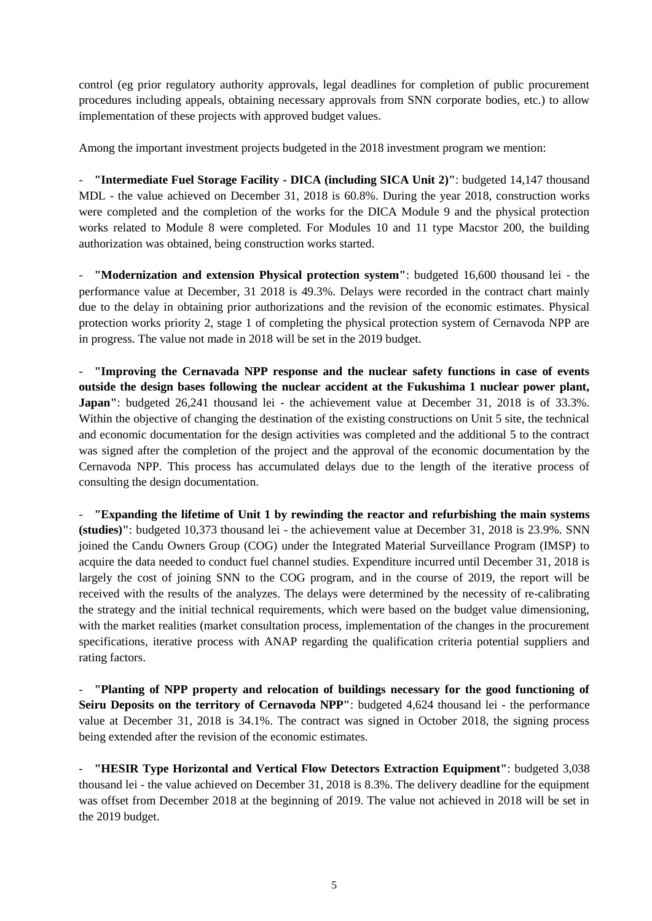control (eg prior regulatory authority approvals, legal deadlines for completion of public procurement procedures including appeals, obtaining necessary approvals from SNN corporate bodies, etc.) to allow implementation of these projects with approved budget values.

Among the important investment projects budgeted in the 2018 investment program we mention:

- **"Intermediate Fuel Storage Facility - DICA (including SICA Unit 2)"**: budgeted 14,147 thousand MDL - the value achieved on December 31, 2018 is 60.8%. During the year 2018, construction works were completed and the completion of the works for the DICA Module 9 and the physical protection works related to Module 8 were completed. For Modules 10 and 11 type Macstor 200, the building authorization was obtained, being construction works started.

- **"Modernization and extension Physical protection system"**: budgeted 16,600 thousand lei - the performance value at December, 31 2018 is 49.3%. Delays were recorded in the contract chart mainly due to the delay in obtaining prior authorizations and the revision of the economic estimates. Physical protection works priority 2, stage 1 of completing the physical protection system of Cernavoda NPP are in progress. The value not made in 2018 will be set in the 2019 budget.

- **"Improving the Cernavada NPP response and the nuclear safety functions in case of events outside the design bases following the nuclear accident at the Fukushima 1 nuclear power plant, Japan''**: budgeted 26,241 thousand lei - the achievement value at December 31, 2018 is of 33.3%. Within the objective of changing the destination of the existing constructions on Unit 5 site, the technical and economic documentation for the design activities was completed and the additional 5 to the contract was signed after the completion of the project and the approval of the economic documentation by the Cernavoda NPP. This process has accumulated delays due to the length of the iterative process of consulting the design documentation.

- **"Expanding the lifetime of Unit 1 by rewinding the reactor and refurbishing the main systems (studies)"**: budgeted 10,373 thousand lei - the achievement value at December 31, 2018 is 23.9%. SNN joined the Candu Owners Group (COG) under the Integrated Material Surveillance Program (IMSP) to acquire the data needed to conduct fuel channel studies. Expenditure incurred until December 31, 2018 is largely the cost of joining SNN to the COG program, and in the course of 2019, the report will be received with the results of the analyzes. The delays were determined by the necessity of re-calibrating the strategy and the initial technical requirements, which were based on the budget value dimensioning, with the market realities (market consultation process, implementation of the changes in the procurement specifications, iterative process with ANAP regarding the qualification criteria potential suppliers and rating factors.

- **"Planting of NPP property and relocation of buildings necessary for the good functioning of Seiru Deposits on the territory of Cernavoda NPP":** budgeted 4,624 thousand lei - the performance value at December 31, 2018 is 34.1%. The contract was signed in October 2018, the signing process being extended after the revision of the economic estimates.

- **"HESIR Type Horizontal and Vertical Flow Detectors Extraction Equipment"**: budgeted 3,038 thousand lei - the value achieved on December 31, 2018 is 8.3%. The delivery deadline for the equipment was offset from December 2018 at the beginning of 2019. The value not achieved in 2018 will be set in the 2019 budget.